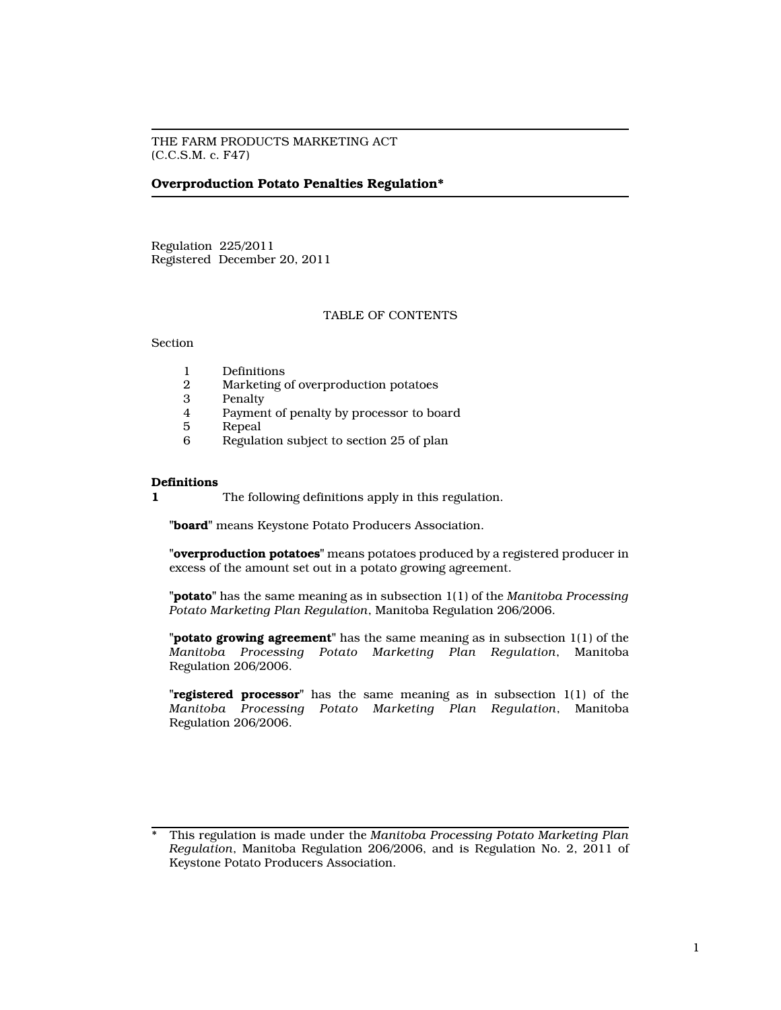THE FARM PRODUCTS MARKETING ACT (C.C.S.M. c. F47)

# **Overproduction Potato Penalties Regulation\***

Regulation 225/2011 Registered December 20, 2011

## TABLE OF CONTENTS

Section

- 1 Definitions<br>2 Marketing
- 2 Marketing of overproduction potatoes
- 3 Penalty
- 4 Payment of penalty by processor to board
- 5 Repeal
- 6 Regulation subject to section 25 of plan

### **Definitions**

**1** The following definitions apply in this regulation.

**"board"** means Keystone Potato Producers Association.

**"overproduction potatoes"** means potatoes produced by a registered producer in excess of the amount set out in a potato growing agreement.

**"potato"** has the same meaning as in subsection 1(1) of the *Manitoba Processing Potato Marketing Plan Regulation*, Manitoba Regulation 206/2006.

**"potato growing agreement"** has the same meaning as in subsection 1(1) of the *Manitoba Processing Potato Marketing Plan Regulation*, Manitoba Regulation 206/2006.

**"registered processor"** has the same meaning as in subsection 1(1) of the *Manitoba Processing Potato Marketing Plan Regulation*, Manitoba Regulation 206/2006.

<sup>\*</sup> This regulation is made under the *Manitoba Processing Potato Marketing Plan Regulation*, Manitoba Regulation 206/2006, and is Regulation No. 2, 2011 of Keystone Potato Producers Association.